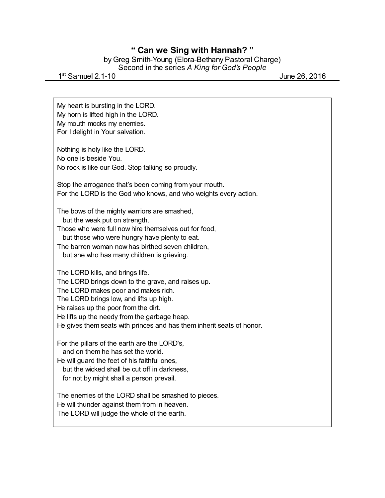## **" Can we Sing with Hannah? "**

by Greg Smith-Young (Elora-Bethany Pastoral Charge) Second in the series *A King for God's People*

1 st Samuel 2.1-10 June 26, 2016

My heart is bursting in the LORD. My horn is lifted high in the LORD. My mouth mocks my enemies. For I delight in Your salvation. Nothing is holy like the LORD. No one is beside You. No rock is like our God. Stop talking so proudly. Stop the arrogance that's been coming from your mouth. For the LORD is the God who knows, and who weights every action. The bows of the mighty warriors are smashed, but the weak put on strength. Those who were full now hire themselves out for food, but those who were hungry have plenty to eat. The barren woman now has birthed seven children, but she who has many children is grieving. The LORD kills, and brings life. The LORD brings down to the grave, and raises up. The LORD makes poor and makes rich. The LORD brings low, and lifts up high. He raises up the poor from the dirt. He lifts up the needy from the garbage heap. He gives them seats with princes and has them inherit seats of honor. For the pillars of the earth are the LORD's, and on them he has set the world. He will guard the feet of his faithful ones, but the wicked shall be cut off in darkness, for not by might shall a person prevail. The enemies of the LORD shall be smashed to pieces. He will thunder against them from in heaven. The LORD will judge the whole of the earth.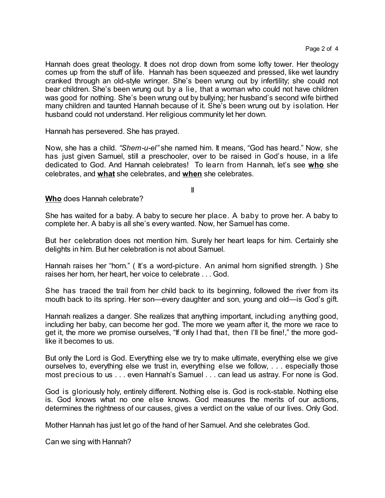Hannah does great theology. It does not drop down from some lofty tower. Her theology comes up from the stuff of life. Hannah has been squeezed and pressed, like wet laundry cranked through an old-style wringer. She's been wrung out by infertility; she could not bear children. She's been wrung out by a lie, that a woman who could not have children was good for nothing. She's been wrung out by bullying; her husband's second wife birthed many children and taunted Hannah because of it. She's been wrung out by isolation. Her husband could not understand. Her religious community let her down.

Hannah has persevered. She has prayed.

Now, she has a child. *"Shem-u-el"* she named him. It means, "God has heard." Now, she has just given Samuel, still a preschooler, over to be raised in God's house, in a life dedicated to God. And Hannah celebrates! To learn from Hannah, let's see **who** she celebrates, and **what** she celebrates, and **when** she celebrates.

II

**Who** does Hannah celebrate?

She has waited for a baby. A baby to secure her place. A baby to prove her. A baby to complete her. A baby is all she's every wanted. Now, her Samuel has come.

But her celebration does not mention him. Surely her heart leaps for him. Certainly she delights in him. But her celebration is not about Samuel.

Hannah raises her "horn." ( It's a word-picture. An animal horn signified strength. ) She raises her horn, her heart, her voice to celebrate . . . God.

She has traced the trail from her child back to its beginning, followed the river from its mouth back to its spring. Her son—every daughter and son, young and old—is God's gift.

Hannah realizes a danger. She realizes that anything important, including anything good, including her baby, can become her god. The more we yearn after it, the more we race to get it, the more we promise ourselves, "If only I had that, then I'll be fine!," the more godlike it becomes to us.

But only the Lord is God. Everything else we try to make ultimate, everything else we give ourselves to, everything else we trust in, everything else we follow, . . . especially those most precious to us . . . even Hannah's Samuel . . . can lead us astray. For none is God.

God is gloriously holy, entirely different. Nothing else is. God is rock-stable. Nothing else is. God knows what no one else knows. God measures the merits of our actions, determines the rightness of our causes, gives a verdict on the value of our lives. Only God.

Mother Hannah has just let go of the hand of her Samuel. And she celebrates God.

Can we sing with Hannah?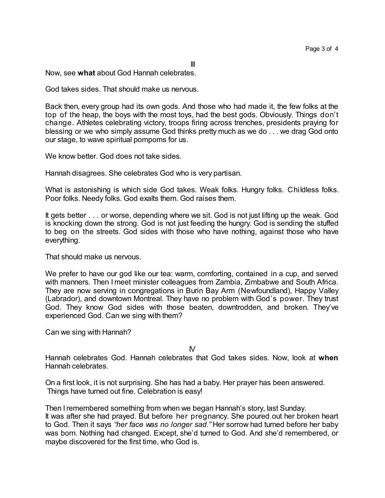III

Now, see **what** about God Hannah celebrates.

God takes sides. That should make us nervous.

Back then, every group had its own gods. And those who had made it, the few folks at the top of the heap, the boys with the most toys, had the best gods. Obviously. Things don't change. Athletes celebrating victory, troops firing across trenches, presidents praying for blessing or we who simply assume God thinks pretty much as we do . . . we drag God onto our stage, to wave spiritual pompoms for us.

We know better. God does not take sides.

Hannah disagrees. She celebrates God who is very partisan.

What is astonishing is which side God takes. Weak folks. Hungry folks. Childless folks. Poor folks. Needy folks. God exalts them. God raises them.

It gets better . . . or worse, depending where we sit. God is not just lifting up the weak. God is knocking down the strong. God is not just feeding the hungry. God is sending the stuffed to beg on the streets. God sides with those who have nothing, against those who have everything.

That should make us nervous.

We prefer to have our god like our tea: warm, comforting, contained in a cup, and served with manners. Then I meet minister colleagues from Zambia, Zimbabwe and South Africa. They are now serving in congregations in Burin Bay Arm (Newfoundland), Happy Valley (Labrador), and downtown Montreal. They have no problem with God's power. They trust God. They know God sides with those beaten, downtrodden, and broken. They've experienced God. Can we sing with them?

Can we sing with Hannah?

 $\mathsf{N}$ 

Hannah celebrates God. Hannah celebrates that God takes sides. Now, look at **when** Hannah celebrates.

On a first look, it is not surprising. She has had a baby. Her prayer has been answered. Things have turned out fine. Celebration is easy!

Then Iremembered something from when we began Hannah's story, last Sunday. It was after she had prayed. But before her pregnancy. She poured out her broken heart to God. Then it says *"her face was no longer sad."* Her sorrow had turned before her baby was born. Nothing had changed. Except, she'd turned to God. And she'd remembered, or maybe discovered for the first time, who God is.